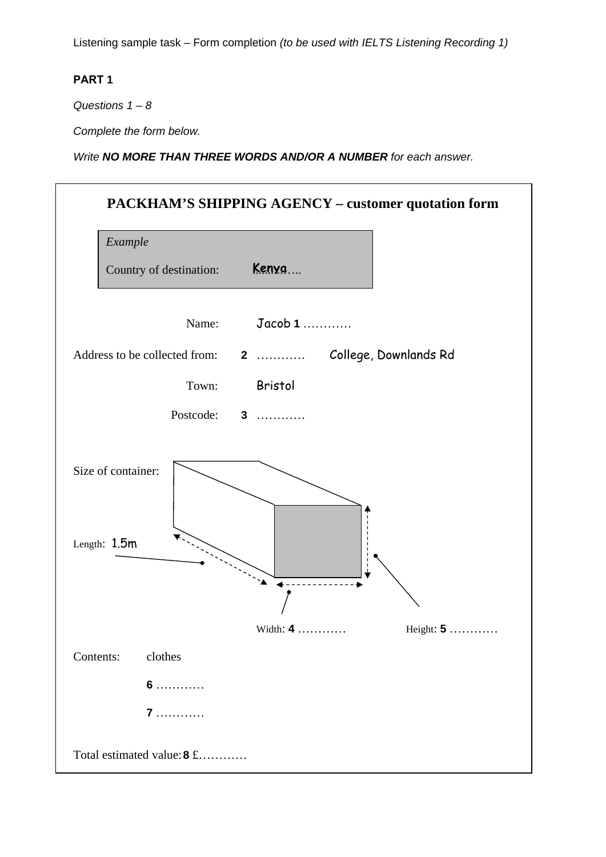Listening sample task – Form completion *(to be used with IELTS Listening Recording 1)*

## **PART 1**

*Questions 1 – 8* 

*Complete the form below.*

*Write NO MORE THAN THREE WORDS AND/OR A NUMBER for each answer.* 

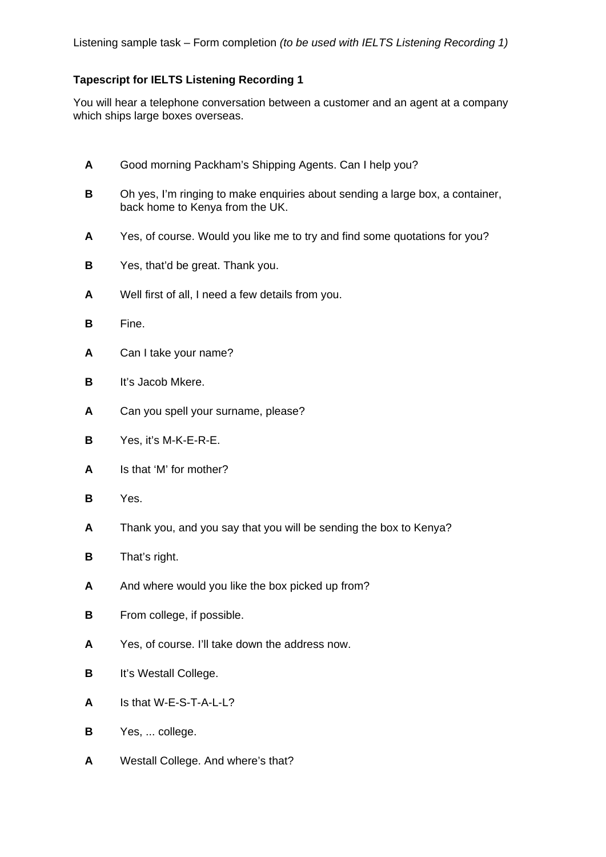## **Tapescript for IELTS Listening Recording 1**

You will hear a telephone conversation between a customer and an agent at a company which ships large boxes overseas.

- **A** Good morning Packham's Shipping Agents. Can I help you?
- **B** Oh yes, I'm ringing to make enquiries about sending a large box, a container, back home to Kenya from the UK.
- **A** Yes, of course. Would you like me to try and find some quotations for you?
- **B** Yes, that'd be great. Thank you.
- **A** Well first of all, I need a few details from you.
- **B** Fine.
- **A** Can I take your name?
- **B** It's Jacob Mkere.
- **A** Can you spell your surname, please?
- **B** Yes, it's M-K-E-R-E.
- **A** Is that 'M' for mother?
- **B** Yes.
- **A** Thank you, and you say that you will be sending the box to Kenya?
- **B** That's right.
- **A** And where would you like the box picked up from?
- **B** From college, if possible.
- **A** Yes, of course. I'll take down the address now.
- **B** It's Westall College.
- **A** Is that W-E-S-T-A-L-L?
- **B** Yes, ... college.
- **A** Westall College. And where's that?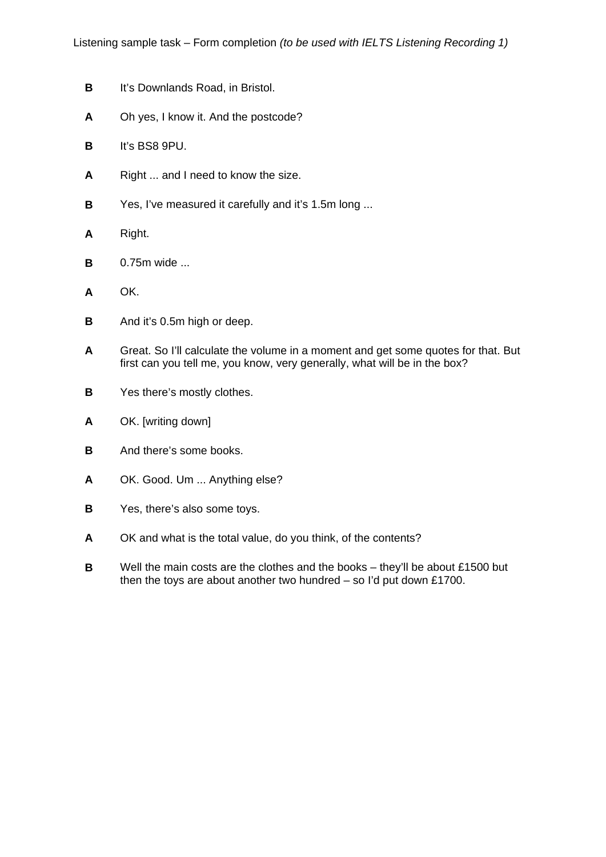- **B** It's Downlands Road, in Bristol.
- **A** Oh yes, I know it. And the postcode?
- **B** It's BS8 9PU.
- **A** Right ... and I need to know the size.
- **B** Yes, I've measured it carefully and it's 1.5m long ...
- **A** Right.
- **B** 0.75m wide ...
- **A** OK.
- **B** And it's 0.5m high or deep.
- **A** Great. So I'll calculate the volume in a moment and get some quotes for that. But first can you tell me, you know, very generally, what will be in the box?
- **B** Yes there's mostly clothes.
- **A** OK. [writing down]
- **B** And there's some books.
- **A** OK. Good. Um ... Anything else?
- **B** Yes, there's also some toys.
- **A** OK and what is the total value, do you think, of the contents?
- **B** Well the main costs are the clothes and the books they'll be about £1500 but then the toys are about another two hundred – so I'd put down £1700.